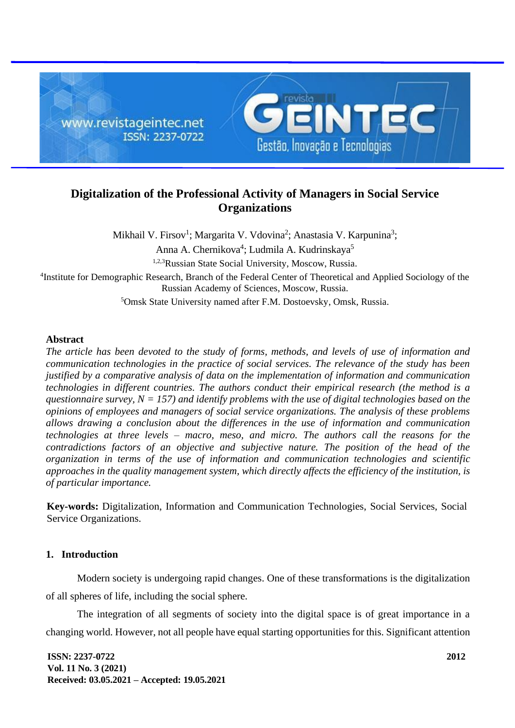

# **Digitalization of the Professional Activity of Managers in Social Service Organizations**

Mikhail V. Firsov<sup>1</sup>; Margarita V. Vdovina<sup>2</sup>; Anastasia V. Karpunina<sup>3</sup>; Anna A. Chernikova<sup>4</sup>; Ludmila A. Kudrinskaya<sup>5</sup> 1,2,3Russian State Social University, Moscow, Russia. <sup>4</sup>Institute for Demographic Research, Branch of the Federal Center of Theoretical and Applied Sociology of the Russian Academy of Sciences, Moscow, Russia.

<sup>5</sup>Omsk State University named after F.M. Dostoevsky, Omsk, Russia.

# **Abstract**

*The article has been devoted to the study of forms, methods, and levels of use of information and communication technologies in the practice of social services. The relevance of the study has been justified by a comparative analysis of data on the implementation of information and communication technologies in different countries. The authors conduct their empirical research (the method is a questionnaire survey, N = 157) and identify problems with the use of digital technologies based on the opinions of employees and managers of social service organizations. The analysis of these problems allows drawing a conclusion about the differences in the use of information and communication technologies at three levels – macro, meso, and micro. The authors call the reasons for the contradictions factors of an objective and subjective nature. The position of the head of the organization in terms of the use of information and communication technologies and scientific approaches in the quality management system, which directly affects the efficiency of the institution, is of particular importance.*

**Key-words:** Digitalization, Information and Communication Technologies, Social Services, Social Service Organizations.

# **1. Introduction**

Modern society is undergoing rapid changes. One of these transformations is the digitalization of all spheres of life, including the social sphere.

The integration of all segments of society into the digital space is of great importance in a changing world. However, not all people have equal starting opportunities for this. Significant attention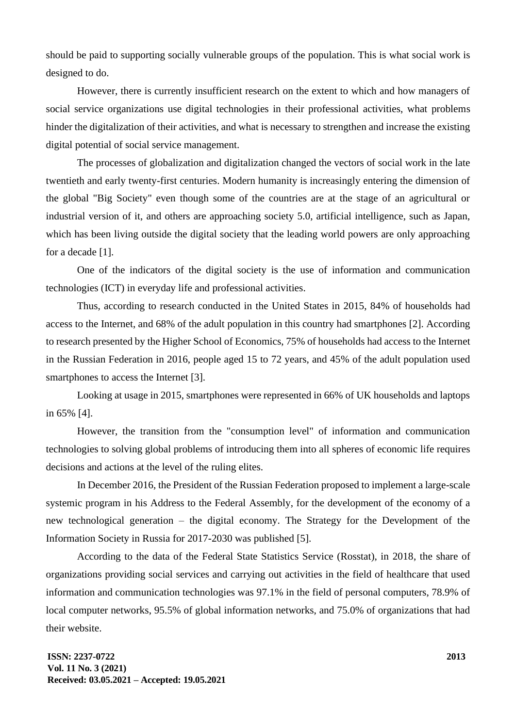should be paid to supporting socially vulnerable groups of the population. This is what social work is designed to do.

However, there is currently insufficient research on the extent to which and how managers of social service organizations use digital technologies in their professional activities, what problems hinder the digitalization of their activities, and what is necessary to strengthen and increase the existing digital potential of social service management.

The processes of globalization and digitalization changed the vectors of social work in the late twentieth and early twenty-first centuries. Modern humanity is increasingly entering the dimension of the global "Big Society" even though some of the countries are at the stage of an agricultural or industrial version of it, and others are approaching society 5.0, artificial intelligence, such as Japan, which has been living outside the digital society that the leading world powers are only approaching for a decade [1].

One of the indicators of the digital society is the use of information and communication technologies (ICT) in everyday life and professional activities.

Thus, according to research conducted in the United States in 2015, 84% of households had access to the Internet, and 68% of the adult population in this country had smartphones [2]. According to research presented by the Higher School of Economics, 75% of households had access to the Internet in the Russian Federation in 2016, people aged 15 to 72 years, and 45% of the adult population used smartphones to access the Internet [3].

Looking at usage in 2015, smartphones were represented in 66% of UK households and laptops in 65% [4].

However, the transition from the "consumption level" of information and communication technologies to solving global problems of introducing them into all spheres of economic life requires decisions and actions at the level of the ruling elites.

In December 2016, the President of the Russian Federation proposed to implement a large-scale systemic program in his Address to the Federal Assembly, for the development of the economy of a new technological generation – the digital economy. The Strategy for the Development of the Information Society in Russia for 2017-2030 was published [5].

According to the data of the Federal State Statistics Service (Rosstat), in 2018, the share of organizations providing social services and carrying out activities in the field of healthcare that used information and communication technologies was 97.1% in the field of personal computers, 78.9% of local computer networks, 95.5% of global information networks, and 75.0% of organizations that had their website.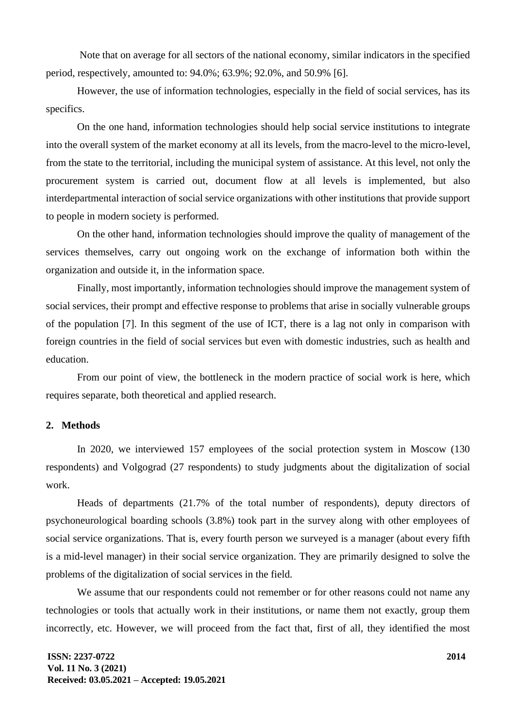Note that on average for all sectors of the national economy, similar indicators in the specified period, respectively, amounted to: 94.0%; 63.9%; 92.0%, and 50.9% [6].

However, the use of information technologies, especially in the field of social services, has its specifics.

On the one hand, information technologies should help social service institutions to integrate into the overall system of the market economy at all its levels, from the macro-level to the micro-level, from the state to the territorial, including the municipal system of assistance. At this level, not only the procurement system is carried out, document flow at all levels is implemented, but also interdepartmental interaction of social service organizations with other institutions that provide support to people in modern society is performed.

On the other hand, information technologies should improve the quality of management of the services themselves, carry out ongoing work on the exchange of information both within the organization and outside it, in the information space.

Finally, most importantly, information technologies should improve the management system of social services, their prompt and effective response to problems that arise in socially vulnerable groups of the population [7]. In this segment of the use of ICT, there is a lag not only in comparison with foreign countries in the field of social services but even with domestic industries, such as health and education.

From our point of view, the bottleneck in the modern practice of social work is here, which requires separate, both theoretical and applied research.

#### **2. Methods**

In 2020, we interviewed 157 employees of the social protection system in Moscow (130 respondents) and Volgograd (27 respondents) to study judgments about the digitalization of social work.

Heads of departments (21.7% of the total number of respondents), deputy directors of psychoneurological boarding schools (3.8%) took part in the survey along with other employees of social service organizations. That is, every fourth person we surveyed is a manager (about every fifth is a mid-level manager) in their social service organization. They are primarily designed to solve the problems of the digitalization of social services in the field.

We assume that our respondents could not remember or for other reasons could not name any technologies or tools that actually work in their institutions, or name them not exactly, group them incorrectly, etc. However, we will proceed from the fact that, first of all, they identified the most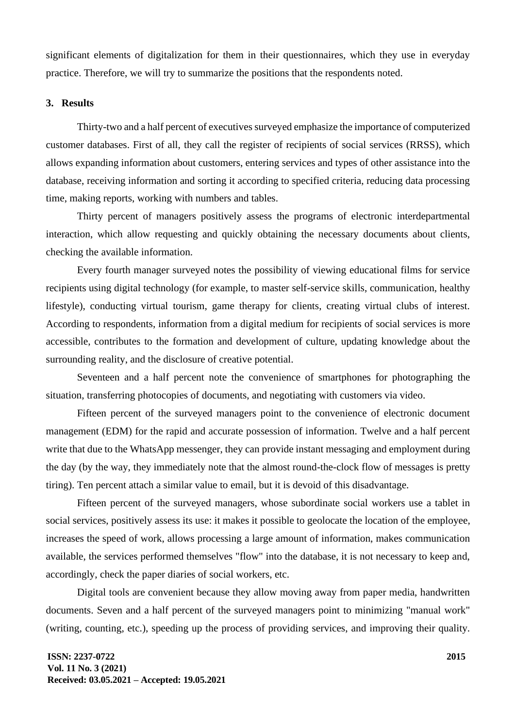significant elements of digitalization for them in their questionnaires, which they use in everyday practice. Therefore, we will try to summarize the positions that the respondents noted.

## **3. Results**

Thirty-two and a half percent of executives surveyed emphasize the importance of computerized customer databases. First of all, they call the register of recipients of social services (RRSS), which allows expanding information about customers, entering services and types of other assistance into the database, receiving information and sorting it according to specified criteria, reducing data processing time, making reports, working with numbers and tables.

Thirty percent of managers positively assess the programs of electronic interdepartmental interaction, which allow requesting and quickly obtaining the necessary documents about clients, checking the available information.

Every fourth manager surveyed notes the possibility of viewing educational films for service recipients using digital technology (for example, to master self-service skills, communication, healthy lifestyle), conducting virtual tourism, game therapy for clients, creating virtual clubs of interest. According to respondents, information from a digital medium for recipients of social services is more accessible, contributes to the formation and development of culture, updating knowledge about the surrounding reality, and the disclosure of creative potential.

Seventeen and a half percent note the convenience of smartphones for photographing the situation, transferring photocopies of documents, and negotiating with customers via video.

Fifteen percent of the surveyed managers point to the convenience of electronic document management (EDM) for the rapid and accurate possession of information. Twelve and a half percent write that due to the WhatsApp messenger, they can provide instant messaging and employment during the day (by the way, they immediately note that the almost round-the-clock flow of messages is pretty tiring). Ten percent attach a similar value to email, but it is devoid of this disadvantage.

Fifteen percent of the surveyed managers, whose subordinate social workers use a tablet in social services, positively assess its use: it makes it possible to geolocate the location of the employee, increases the speed of work, allows processing a large amount of information, makes communication available, the services performed themselves "flow" into the database, it is not necessary to keep and, accordingly, check the paper diaries of social workers, etc.

Digital tools are convenient because they allow moving away from paper media, handwritten documents. Seven and a half percent of the surveyed managers point to minimizing "manual work" (writing, counting, etc.), speeding up the process of providing services, and improving their quality.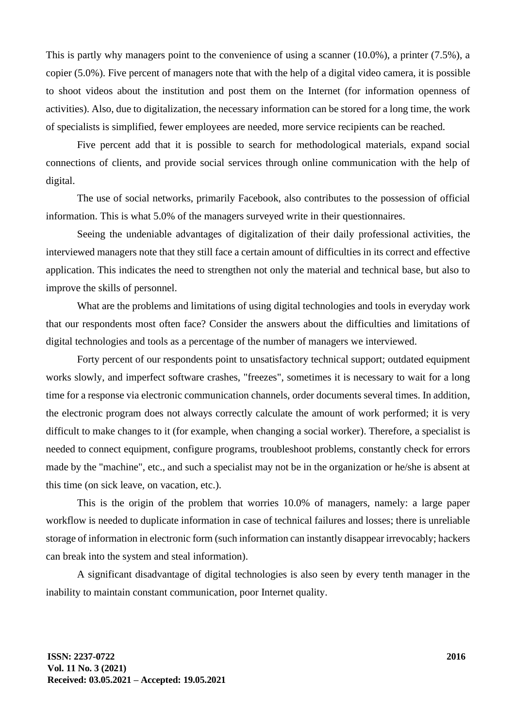This is partly why managers point to the convenience of using a scanner (10.0%), a printer (7.5%), a copier (5.0%). Five percent of managers note that with the help of a digital video camera, it is possible to shoot videos about the institution and post them on the Internet (for information openness of activities). Also, due to digitalization, the necessary information can be stored for a long time, the work of specialists is simplified, fewer employees are needed, more service recipients can be reached.

Five percent add that it is possible to search for methodological materials, expand social connections of clients, and provide social services through online communication with the help of digital.

The use of social networks, primarily Facebook, also contributes to the possession of official information. This is what 5.0% of the managers surveyed write in their questionnaires.

Seeing the undeniable advantages of digitalization of their daily professional activities, the interviewed managers note that they still face a certain amount of difficulties in its correct and effective application. This indicates the need to strengthen not only the material and technical base, but also to improve the skills of personnel.

What are the problems and limitations of using digital technologies and tools in everyday work that our respondents most often face? Consider the answers about the difficulties and limitations of digital technologies and tools as a percentage of the number of managers we interviewed.

Forty percent of our respondents point to unsatisfactory technical support; outdated equipment works slowly, and imperfect software crashes, "freezes", sometimes it is necessary to wait for a long time for a response via electronic communication channels, order documents several times. In addition, the electronic program does not always correctly calculate the amount of work performed; it is very difficult to make changes to it (for example, when changing a social worker). Therefore, a specialist is needed to connect equipment, configure programs, troubleshoot problems, constantly check for errors made by the "machine", etc., and such a specialist may not be in the organization or he/she is absent at this time (on sick leave, on vacation, etc.).

This is the origin of the problem that worries 10.0% of managers, namely: a large paper workflow is needed to duplicate information in case of technical failures and losses; there is unreliable storage of information in electronic form (such information can instantly disappear irrevocably; hackers can break into the system and steal information).

A significant disadvantage of digital technologies is also seen by every tenth manager in the inability to maintain constant communication, poor Internet quality.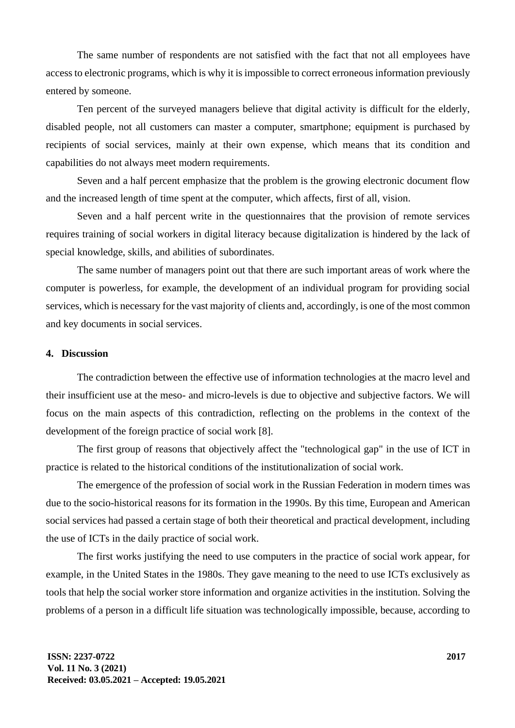The same number of respondents are not satisfied with the fact that not all employees have access to electronic programs, which is why it is impossible to correct erroneous information previously entered by someone.

Ten percent of the surveyed managers believe that digital activity is difficult for the elderly, disabled people, not all customers can master a computer, smartphone; equipment is purchased by recipients of social services, mainly at their own expense, which means that its condition and capabilities do not always meet modern requirements.

Seven and a half percent emphasize that the problem is the growing electronic document flow and the increased length of time spent at the computer, which affects, first of all, vision.

Seven and a half percent write in the questionnaires that the provision of remote services requires training of social workers in digital literacy because digitalization is hindered by the lack of special knowledge, skills, and abilities of subordinates.

The same number of managers point out that there are such important areas of work where the computer is powerless, for example, the development of an individual program for providing social services, which is necessary for the vast majority of clients and, accordingly, is one of the most common and key documents in social services.

#### **4. Discussion**

The contradiction between the effective use of information technologies at the macro level and their insufficient use at the meso- and micro-levels is due to objective and subjective factors. We will focus on the main aspects of this contradiction, reflecting on the problems in the context of the development of the foreign practice of social work [8].

The first group of reasons that objectively affect the "technological gap" in the use of ICT in practice is related to the historical conditions of the institutionalization of social work.

The emergence of the profession of social work in the Russian Federation in modern times was due to the socio-historical reasons for its formation in the 1990s. By this time, European and American social services had passed a certain stage of both their theoretical and practical development, including the use of ICTs in the daily practice of social work.

The first works justifying the need to use computers in the practice of social work appear, for example, in the United States in the 1980s. They gave meaning to the need to use ICTs exclusively as tools that help the social worker store information and organize activities in the institution. Solving the problems of a person in a difficult life situation was technologically impossible, because, according to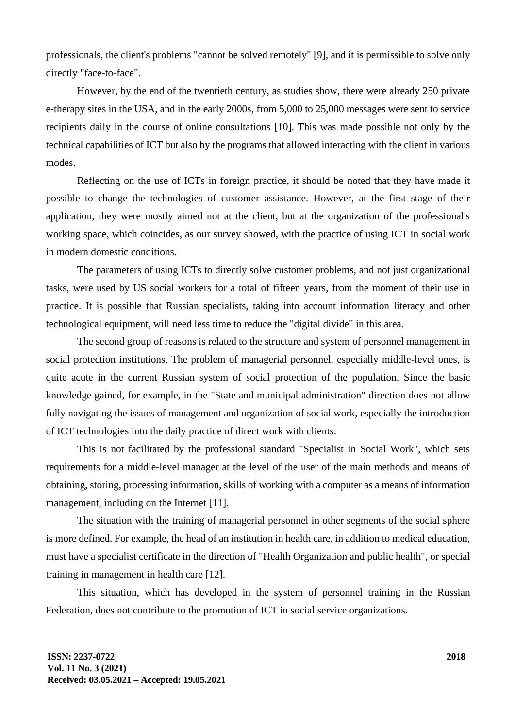professionals, the client's problems "cannot be solved remotely" [9], and it is permissible to solve only directly "face-to-face".

However, by the end of the twentieth century, as studies show, there were already 250 private e-therapy sites in the USA, and in the early 2000s, from 5,000 to 25,000 messages were sent to service recipients daily in the course of online consultations [10]. This was made possible not only by the technical capabilities of ICT but also by the programs that allowed interacting with the client in various modes.

Reflecting on the use of ICTs in foreign practice, it should be noted that they have made it possible to change the technologies of customer assistance. However, at the first stage of their application, they were mostly aimed not at the client, but at the organization of the professional's working space, which coincides, as our survey showed, with the practice of using ICT in social work in modern domestic conditions.

The parameters of using ICTs to directly solve customer problems, and not just organizational tasks, were used by US social workers for a total of fifteen years, from the moment of their use in practice. It is possible that Russian specialists, taking into account information literacy and other technological equipment, will need less time to reduce the "digital divide" in this area.

The second group of reasons is related to the structure and system of personnel management in social protection institutions. The problem of managerial personnel, especially middle-level ones, is quite acute in the current Russian system of social protection of the population. Since the basic knowledge gained, for example, in the "State and municipal administration" direction does not allow fully navigating the issues of management and organization of social work, especially the introduction of ICT technologies into the daily practice of direct work with clients.

This is not facilitated by the professional standard "Specialist in Social Work", which sets requirements for a middle-level manager at the level of the user of the main methods and means of obtaining, storing, processing information, skills of working with a computer as a means of information management, including on the Internet [11].

The situation with the training of managerial personnel in other segments of the social sphere is more defined. For example, the head of an institution in health care, in addition to medical education, must have a specialist certificate in the direction of "Health Organization and public health", or special training in management in health care [12].

This situation, which has developed in the system of personnel training in the Russian Federation, does not contribute to the promotion of ICT in social service organizations.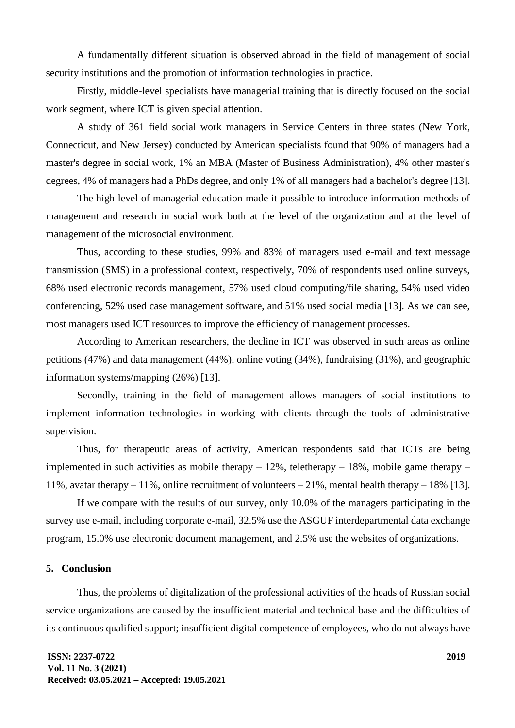A fundamentally different situation is observed abroad in the field of management of social security institutions and the promotion of information technologies in practice.

Firstly, middle-level specialists have managerial training that is directly focused on the social work segment, where ICT is given special attention.

A study of 361 field social work managers in Service Centers in three states (New York, Connecticut, and New Jersey) conducted by American specialists found that 90% of managers had a master's degree in social work, 1% an MBA (Master of Business Administration), 4% other master's degrees, 4% of managers had a PhDs degree, and only 1% of all managers had a bachelor's degree [13].

The high level of managerial education made it possible to introduce information methods of management and research in social work both at the level of the organization and at the level of management of the microsocial environment.

Thus, according to these studies, 99% and 83% of managers used e-mail and text message transmission (SMS) in a professional context, respectively, 70% of respondents used online surveys, 68% used electronic records management, 57% used cloud computing/file sharing, 54% used video conferencing, 52% used case management software, and 51% used social media [13]. As we can see, most managers used ICT resources to improve the efficiency of management processes.

According to American researchers, the decline in ICT was observed in such areas as online petitions (47%) and data management (44%), online voting (34%), fundraising (31%), and geographic information systems/mapping (26%) [13].

Secondly, training in the field of management allows managers of social institutions to implement information technologies in working with clients through the tools of administrative supervision.

Thus, for therapeutic areas of activity, American respondents said that ICTs are being implemented in such activities as mobile therapy  $-12\%$ , teletherapy  $-18\%$ , mobile game therapy  $-$ 11%, avatar therapy – 11%, online recruitment of volunteers – 21%, mental health therapy – 18% [13].

If we compare with the results of our survey, only 10.0% of the managers participating in the survey use e-mail, including corporate e-mail, 32.5% use the ASGUF interdepartmental data exchange program, 15.0% use electronic document management, and 2.5% use the websites of organizations.

#### **5. Conclusion**

Thus, the problems of digitalization of the professional activities of the heads of Russian social service organizations are caused by the insufficient material and technical base and the difficulties of its continuous qualified support; insufficient digital competence of employees, who do not always have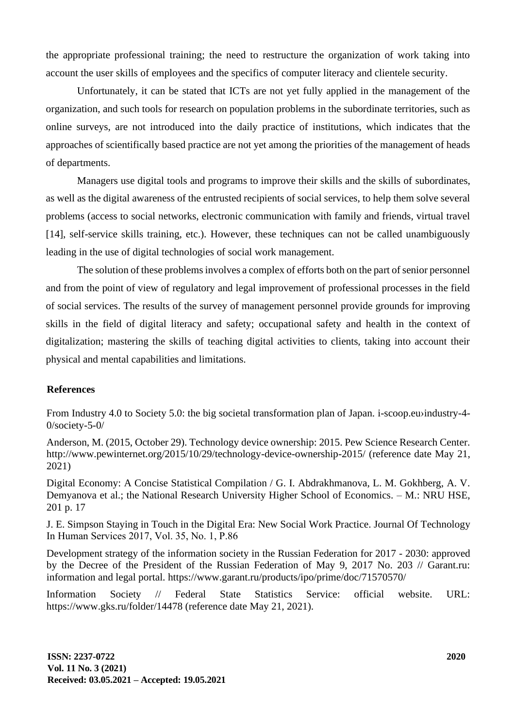the appropriate professional training; the need to restructure the organization of work taking into account the user skills of employees and the specifics of computer literacy and clientele security.

Unfortunately, it can be stated that ICTs are not yet fully applied in the management of the organization, and such tools for research on population problems in the subordinate territories, such as online surveys, are not introduced into the daily practice of institutions, which indicates that the approaches of scientifically based practice are not yet among the priorities of the management of heads of departments.

Managers use digital tools and programs to improve their skills and the skills of subordinates, as well as the digital awareness of the entrusted recipients of social services, to help them solve several problems (access to social networks, electronic communication with family and friends, virtual travel [14], self-service skills training, etc.). However, these techniques can not be called unambiguously leading in the use of digital technologies of social work management.

The solution of these problems involves a complex of efforts both on the part of senior personnel and from the point of view of regulatory and legal improvement of professional processes in the field of social services. The results of the survey of management personnel provide grounds for improving skills in the field of digital literacy and safety; occupational safety and health in the context of digitalization; mastering the skills of teaching digital activities to clients, taking into account their physical and mental capabilities and limitations.

## **References**

From Industry 4.0 to Society 5.0: the big societal transformation plan of Japan. [i-scoop.eu›](https://www.i-scoop.eu/)[industry-4-](https://www.i-scoop.eu/industry-4-0/society-5-0/) [0/society-5-0/](https://www.i-scoop.eu/industry-4-0/society-5-0/)

Anderson, M. (2015, October 29). Technology device ownership: 2015. Pew Science Research Center. <http://www.pewinternet.org/2015/10/29/technology-device-ownership-2015/> (reference date May 21, 2021)

Digital Economy: A Concise Statistical Compilation / G. I. Abdrakhmanova, L. M. Gokhberg, A. V. Demyanova et al.; the National Research University Higher School of Economics. – M.: NRU HSE, 201 p. 17

J. E. Simpson Staying in Touch in the Digital Era: New Social Work Practice. Journal Of Technology In Human Services 2017, Vol. 35, No. 1, Р.86

Development strategy of the information society in the Russian Federation for 2017 - 2030: approved by the Decree of the President of the Russian Federation of May 9, 2017 No. 203 // Garant.ru: information and legal portal.<https://www.garant.ru/products/ipo/prime/doc/71570570/>

Information Society // Federal State Statistics Service: official website. URL: <https://www.gks.ru/folder/14478> (reference date May 21, 2021).